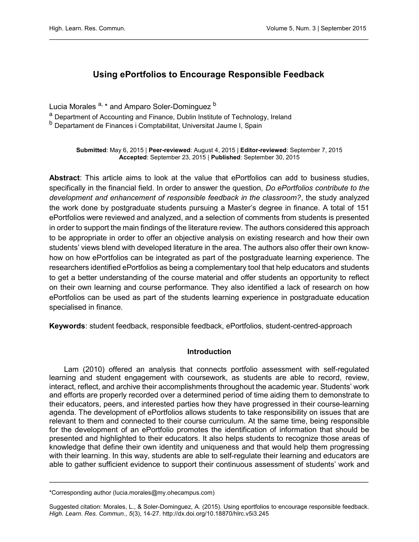# Using ePortfolios to Encourage Responsible Feedback

Lucia Morales <sup>a, \*</sup> and Amparo Soler-Dominguez <sup>b</sup>

a Department of Accounting and Finance, Dublin Institute of Technology, Ireland

b Departament de Finances i Comptabilitat, Universitat Jaume I, Spain

Submitted: May 6, 2015 | Peer-reviewed: August 4, 2015 | Editor-reviewed: September 7, 2015 Accepted: September 23, 2015 | Published: September 30, 2015

Abstract: This article aims to look at the value that ePortfolios can add to business studies, specifically in the financial field. In order to answer the question, Do ePortfolios contribute to the development and enhancement of responsible feedback in the classroom?, the study analyzed the work done by postgraduate students pursuing a Master's degree in finance. A total of 151 ePortfolios were reviewed and analyzed, and a selection of comments from students is presented in order to support the main findings of the literature review. The authors considered this approach to be appropriate in order to offer an objective analysis on existing research and how their own students' views blend with developed literature in the area. The authors also offer their own knowhow on how ePortfolios can be integrated as part of the postgraduate learning experience. The researchers identified ePortfolios as being a complementary tool that help educators and students to get a better understanding of the course material and offer students an opportunity to reflect on their own learning and course performance. They also identified a lack of research on how ePortfolios can be used as part of the students learning experience in postgraduate education specialised in finance.

Keywords: student feedback, responsible feedback, ePortfolios, student-centred-approach

# Introduction

Lam (2010) offered an analysis that connects portfolio assessment with self-regulated learning and student engagement with coursework, as students are able to record, review, interact, reflect, and archive their accomplishments throughout the academic year. Students' work and efforts are properly recorded over a determined period of time aiding them to demonstrate to their educators, peers, and interested parties how they have progressed in their course-learning agenda. The development of ePortfolios allows students to take responsibility on issues that are relevant to them and connected to their course curriculum. At the same time, being responsible for the development of an ePortfolio promotes the identification of information that should be presented and highlighted to their educators. It also helps students to recognize those areas of knowledge that define their own identity and uniqueness and that would help them progressing with their learning. In this way, students are able to self-regulate their learning and educators are able to gather sufficient evidence to support their continuous assessment of students' work and

Suggested citation: Morales, L., & Soler-Dominguez, A. (2015). Using eportfolios to encourage responsible feedback. High. Learn. Res. Commun., 5(3), 14-27.<http://dx.doi.org/10.18870/hlrc.v5i3.245>

<sup>\*</sup>Corresponding author (lucia.morales@my.ohecampus.com)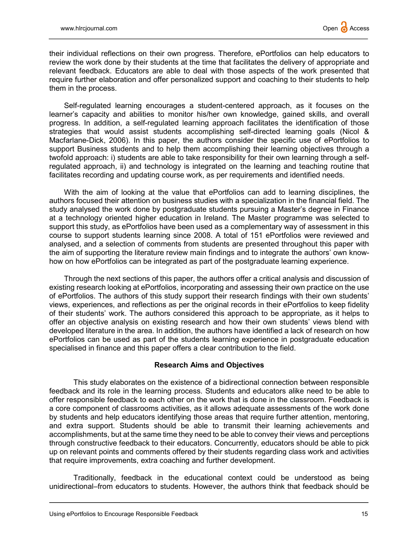their individual reflections on their own progress. Therefore, ePortfolios can help educators to review the work done by their students at the time that facilitates the delivery of appropriate and relevant feedback. Educators are able to deal with those aspects of the work presented that require further elaboration and offer personalized support and coaching to their students to help them in the process.

Self-regulated learning encourages a student-centered approach, as it focuses on the learner's capacity and abilities to monitor his/her own knowledge, gained skills, and overall progress. In addition, a self-regulated learning approach facilitates the identification of those strategies that would assist students accomplishing self-directed learning goals (Nicol & Macfarlane-Dick, 2006). In this paper, the authors consider the specific use of ePortfolios to support Business students and to help them accomplishing their learning objectives through a twofold approach: i) students are able to take responsibility for their own learning through a selfregulated approach, ii) and technology is integrated on the learning and teaching routine that facilitates recording and updating course work, as per requirements and identified needs.

With the aim of looking at the value that ePortfolios can add to learning disciplines, the authors focused their attention on business studies with a specialization in the financial field. The study analysed the work done by postgraduate students pursuing a Master's degree in Finance at a technology oriented higher education in Ireland. The Master programme was selected to support this study, as ePortfolios have been used as a complementary way of assessment in this course to support students learning since 2008. A total of 151 ePortfolios were reviewed and analysed, and a selection of comments from students are presented throughout this paper with the aim of supporting the literature review main findings and to integrate the authors' own knowhow on how ePortfolios can be integrated as part of the postgraduate learning experience.

Through the next sections of this paper, the authors offer a critical analysis and discussion of existing research looking at ePortfolios, incorporating and assessing their own practice on the use of ePortfolios. The authors of this study support their research findings with their own students' views, experiences, and reflections as per the original records in their ePortfolios to keep fidelity of their students' work. The authors considered this approach to be appropriate, as it helps to offer an objective analysis on existing research and how their own students' views blend with developed literature in the area. In addition, the authors have identified a lack of research on how ePortfolios can be used as part of the students learning experience in postgraduate education specialised in finance and this paper offers a clear contribution to the field.

#### Research Aims and Objectives

This study elaborates on the existence of a bidirectional connection between responsible feedback and its role in the learning process. Students and educators alike need to be able to offer responsible feedback to each other on the work that is done in the classroom. Feedback is a core component of classrooms activities, as it allows adequate assessments of the work done by students and help educators identifying those areas that require further attention, mentoring, and extra support. Students should be able to transmit their learning achievements and accomplishments, but at the same time they need to be able to convey their views and perceptions through constructive feedback to their educators. Concurrently, educators should be able to pick up on relevant points and comments offered by their students regarding class work and activities that require improvements, extra coaching and further development.

Traditionally, feedback in the educational context could be understood as being unidirectional–from educators to students. However, the authors think that feedback should be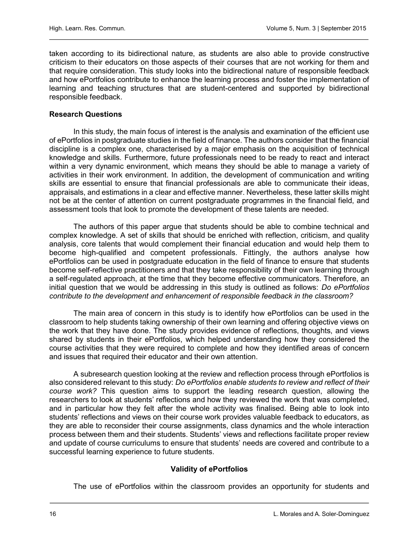taken according to its bidirectional nature, as students are also able to provide constructive criticism to their educators on those aspects of their courses that are not working for them and that require consideration. This study looks into the bidirectional nature of responsible feedback and how ePortfolios contribute to enhance the learning process and foster the implementation of learning and teaching structures that are student-centered and supported by bidirectional responsible feedback.

## Research Questions

In this study, the main focus of interest is the analysis and examination of the efficient use of ePortfolios in postgraduate studies in the field of finance. The authors consider that the financial discipline is a complex one, characterised by a major emphasis on the acquisition of technical knowledge and skills. Furthermore, future professionals need to be ready to react and interact within a very dynamic environment, which means they should be able to manage a variety of activities in their work environment. In addition, the development of communication and writing skills are essential to ensure that financial professionals are able to communicate their ideas, appraisals, and estimations in a clear and effective manner. Nevertheless, these latter skills might not be at the center of attention on current postgraduate programmes in the financial field, and assessment tools that look to promote the development of these talents are needed.

The authors of this paper argue that students should be able to combine technical and complex knowledge. A set of skills that should be enriched with reflection, criticism, and quality analysis, core talents that would complement their financial education and would help them to become high-qualified and competent professionals. Fittingly, the authors analyse how ePortfolios can be used in postgraduate education in the field of finance to ensure that students become self-reflective practitioners and that they take responsibility of their own learning through a self-regulated approach, at the time that they become effective communicators. Therefore, an initial question that we would be addressing in this study is outlined as follows: Do ePortfolios contribute to the development and enhancement of responsible feedback in the classroom?

The main area of concern in this study is to identify how ePortfolios can be used in the classroom to help students taking ownership of their own learning and offering objective views on the work that they have done. The study provides evidence of reflections, thoughts, and views shared by students in their ePortfolios, which helped understanding how they considered the course activities that they were required to complete and how they identified areas of concern and issues that required their educator and their own attention.

A subresearch question looking at the review and reflection process through ePortfolios is also considered relevant to this study: Do ePortfolios enable students to review and reflect of their course work? This question aims to support the leading research question, allowing the researchers to look at students' reflections and how they reviewed the work that was completed, and in particular how they felt after the whole activity was finalised. Being able to look into students' reflections and views on their course work provides valuable feedback to educators, as they are able to reconsider their course assignments, class dynamics and the whole interaction process between them and their students. Students' views and reflections facilitate proper review and update of course curriculums to ensure that students' needs are covered and contribute to a successful learning experience to future students.

# Validity of ePortfolios

The use of ePortfolios within the classroom provides an opportunity for students and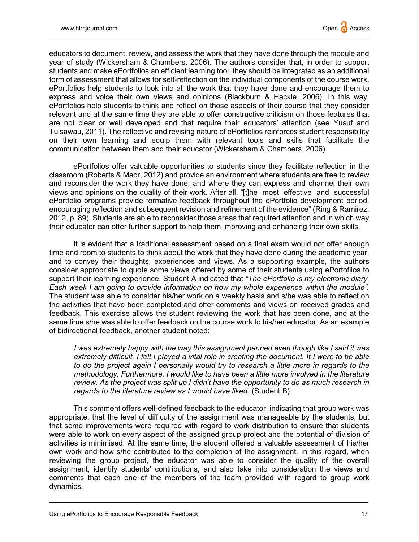educators to document, review, and assess the work that they have done through the module and year of study (Wickersham & Chambers, 2006). The authors consider that, in order to support students and make ePortfolios an efficient learning tool, they should be integrated as an additional form of assessment that allows for self-reflection on the individual components of the course work. ePortfolios help students to look into all the work that they have done and encourage them to express and voice their own views and opinions (Blackburn & Hackle, 2006). In this way, ePortfolios help students to think and reflect on those aspects of their course that they consider relevant and at the same time they are able to offer constructive criticism on those features that are not clear or well developed and that require their educators' attention (see Yusuf and Tuisawau, 2011). The reflective and revising nature of ePortfolios reinforces student responsibility on their own learning and equip them with relevant tools and skills that facilitate the communication between them and their educator (Wickersham & Chambers, 2006).

ePortfolios offer valuable opportunities to students since they facilitate reflection in the classroom (Roberts & Maor, 2012) and provide an environment where students are free to review and reconsider the work they have done, and where they can express and channel their own views and opinions on the quality of their work. After all, "[t]he most effective and successful ePortfolio programs provide formative feedback throughout the ePortfolio development period, encouraging reflection and subsequent revision and refinement of the evidence" (Ring & Ramirez, 2012, p. 89). Students are able to reconsider those areas that required attention and in which way their educator can offer further support to help them improving and enhancing their own skills.

It is evident that a traditional assessment based on a final exam would not offer enough time and room to students to think about the work that they have done during the academic year, and to convey their thoughts, experiences and views. As a supporting example, the authors consider appropriate to quote some views offered by some of their students using ePortoflios to support their learning experience. Student A indicated that "The ePortfolio is my electronic diary. Each week I am going to provide information on how my whole experience within the module". The student was able to consider his/her work on a weekly basis and s/he was able to reflect on the activities that have been completed and offer comments and views on received grades and feedback. This exercise allows the student reviewing the work that has been done, and at the same time s/he was able to offer feedback on the course work to his/her educator. As an example of bidirectional feedback, another student noted:

I was extremely happy with the way this assignment panned even though like I said it was extremely difficult. I felt I played a vital role in creating the document. If I were to be able to do the project again I personally would try to research a little more in regards to the methodology. Furthermore, I would like to have been a little more involved in the literature review. As the project was split up I didn't have the opportunity to do as much research in regards to the literature review as I would have liked. (Student B)

This comment offers well-defined feedback to the educator, indicating that group work was appropriate, that the level of difficulty of the assignment was manageable by the students, but that some improvements were required with regard to work distribution to ensure that students were able to work on every aspect of the assigned group project and the potential of division of activities is minimised. At the same time, the student offered a valuable assessment of his/her own work and how s/he contributed to the completion of the assignment. In this regard, when reviewing the group project, the educator was able to consider the quality of the overall assignment, identify students' contributions, and also take into consideration the views and comments that each one of the members of the team provided with regard to group work dynamics.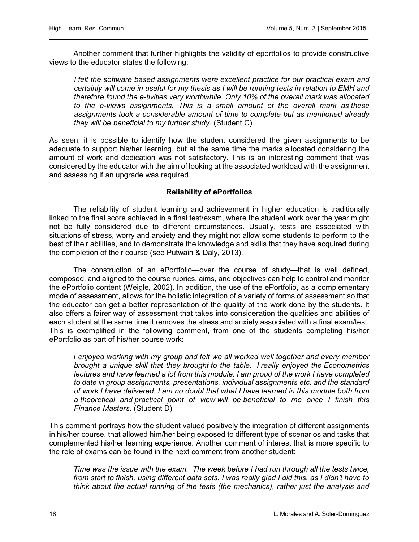Another comment that further highlights the validity of eportfolios to provide constructive views to the educator states the following:

I felt the software based assignments were excellent practice for our practical exam and certainly will come in useful for my thesis as I will be running tests in relation to EMH and therefore found the e-tivities very worthwhile. Only 10% of the overall mark was allocated to the e-views assignments. This is a small amount of the overall mark as these assignments took a considerable amount of time to complete but as mentioned already they will be beneficial to my further study. (Student C)

As seen, it is possible to identify how the student considered the given assignments to be adequate to support his/her learning, but at the same time the marks allocated considering the amount of work and dedication was not satisfactory. This is an interesting comment that was considered by the educator with the aim of looking at the associated workload with the assignment and assessing if an upgrade was required.

## Reliability of ePortfolios

The reliability of student learning and achievement in higher education is traditionally linked to the final score achieved in a final test/exam, where the student work over the year might not be fully considered due to different circumstances. Usually, tests are associated with situations of stress, worry and anxiety and they might not allow some students to perform to the best of their abilities, and to demonstrate the knowledge and skills that they have acquired during the completion of their course (see Putwain & Daly, 2013).

The construction of an ePortfolio—over the course of study—that is well defined, composed, and aligned to the course rubrics, aims, and objectives can help to control and monitor the ePortfolio content (Weigle, 2002). In addition, the use of the ePortfolio, as a complementary mode of assessment, allows for the holistic integration of a variety of forms of assessment so that the educator can get a better representation of the quality of the work done by the students. It also offers a fairer way of assessment that takes into consideration the qualities and abilities of each student at the same time it removes the stress and anxiety associated with a final exam/test. This is exemplified in the following comment, from one of the students completing his/her ePortfolio as part of his/her course work:

I enjoyed working with my group and felt we all worked well together and every member brought a unique skill that they brought to the table. I really enjoyed the Econometrics lectures and have learned a lot from this module. I am proud of the work I have completed to date in group assignments, presentations, individual assignments etc. and the standard of work I have delivered. I am no doubt that what I have learned in this module both from a theoretical and practical point of view will be beneficial to me once I finish this Finance Masters. (Student D)

This comment portrays how the student valued positively the integration of different assignments in his/her course, that allowed him/her being exposed to different type of scenarios and tasks that complemented his/her learning experience. Another comment of interest that is more specific to the role of exams can be found in the next comment from another student:

Time was the issue with the exam. The week before I had run through all the tests twice, from start to finish, using different data sets. I was really glad I did this, as I didn't have to think about the actual running of the tests (the mechanics), rather just the analysis and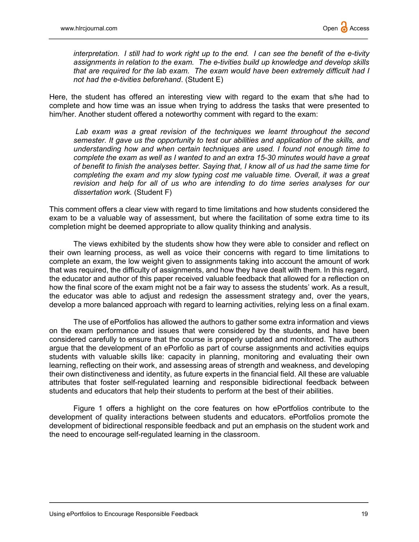interpretation. I still had to work right up to the end. I can see the benefit of the e-tivity assignments in relation to the exam. The e-tivities build up knowledge and develop skills that are required for the lab exam. The exam would have been extremely difficult had I not had the e-tivities beforehand. (Student E)

Here, the student has offered an interesting view with regard to the exam that s/he had to complete and how time was an issue when trying to address the tasks that were presented to him/her. Another student offered a noteworthy comment with regard to the exam:

Lab exam was a great revision of the techniques we learnt throughout the second semester. It gave us the opportunity to test our abilities and application of the skills, and understanding how and when certain techniques are used. I found not enough time to complete the exam as well as I wanted to and an extra 15-30 minutes would have a great of benefit to finish the analyses better. Saying that, I know all of us had the same time for completing the exam and my slow typing cost me valuable time. Overall, it was a great revision and help for all of us who are intending to do time series analyses for our dissertation work. (Student F)

This comment offers a clear view with regard to time limitations and how students considered the exam to be a valuable way of assessment, but where the facilitation of some extra time to its completion might be deemed appropriate to allow quality thinking and analysis.

The views exhibited by the students show how they were able to consider and reflect on their own learning process, as well as voice their concerns with regard to time limitations to complete an exam, the low weight given to assignments taking into account the amount of work that was required, the difficulty of assignments, and how they have dealt with them. In this regard, the educator and author of this paper received valuable feedback that allowed for a reflection on how the final score of the exam might not be a fair way to assess the students' work. As a result, the educator was able to adjust and redesign the assessment strategy and, over the years, develop a more balanced approach with regard to learning activities, relying less on a final exam.

The use of ePortfolios has allowed the authors to gather some extra information and views on the exam performance and issues that were considered by the students, and have been considered carefully to ensure that the course is properly updated and monitored. The authors argue that the development of an ePorfolio as part of course assignments and activities equips students with valuable skills like: capacity in planning, monitoring and evaluating their own learning, reflecting on their work, and assessing areas of strength and weakness, and developing their own distinctiveness and identity, as future experts in the financial field. All these are valuable attributes that foster self-regulated learning and responsible bidirectional feedback between students and educators that help their students to perform at the best of their abilities.

Figure 1 offers a highlight on the core features on how ePortfolios contribute to the development of quality interactions between students and educators. ePortfolios promote the development of bidirectional responsible feedback and put an emphasis on the student work and the need to encourage self-regulated learning in the classroom.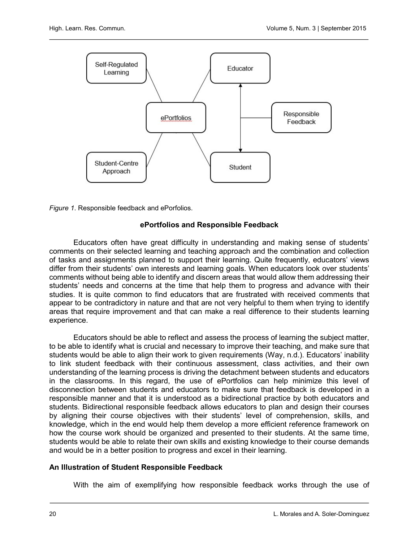



## ePortfolios and Responsible Feedback

Educators often have great difficulty in understanding and making sense of students' comments on their selected learning and teaching approach and the combination and collection of tasks and assignments planned to support their learning. Quite frequently, educators' views differ from their students' own interests and learning goals. When educators look over students' comments without being able to identify and discern areas that would allow them addressing their students' needs and concerns at the time that help them to progress and advance with their studies. It is quite common to find educators that are frustrated with received comments that appear to be contradictory in nature and that are not very helpful to them when trying to identify areas that require improvement and that can make a real difference to their students learning experience.

Educators should be able to reflect and assess the process of learning the subject matter, to be able to identify what is crucial and necessary to improve their teaching, and make sure that students would be able to align their work to given requirements (Way, n.d.). Educators' inability to link student feedback with their continuous assessment, class activities, and their own understanding of the learning process is driving the detachment between students and educators in the classrooms. In this regard, the use of ePortfolios can help minimize this level of disconnection between students and educators to make sure that feedback is developed in a responsible manner and that it is understood as a bidirectional practice by both educators and students. Bidirectional responsible feedback allows educators to plan and design their courses by aligning their course objectives with their students' level of comprehension, skills, and knowledge, which in the end would help them develop a more efficient reference framework on how the course work should be organized and presented to their students. At the same time, students would be able to relate their own skills and existing knowledge to their course demands and would be in a better position to progress and excel in their learning.

#### An Illustration of Student Responsible Feedback

With the aim of exemplifying how responsible feedback works through the use of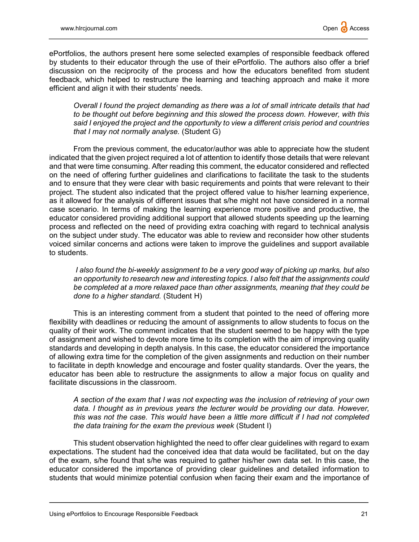ePortfolios, the authors present here some selected examples of responsible feedback offered by students to their educator through the use of their ePortfolio. The authors also offer a brief discussion on the reciprocity of the process and how the educators benefited from student feedback, which helped to restructure the learning and teaching approach and make it more efficient and align it with their students' needs.

Overall I found the project demanding as there was a lot of small intricate details that had to be thought out before beginning and this slowed the process down. However, with this said I enjoyed the project and the opportunity to view a different crisis period and countries that I may not normally analyse. (Student G)

From the previous comment, the educator/author was able to appreciate how the student indicated that the given project required a lot of attention to identify those details that were relevant and that were time consuming. After reading this comment, the educator considered and reflected on the need of offering further guidelines and clarifications to facilitate the task to the students and to ensure that they were clear with basic requirements and points that were relevant to their project. The student also indicated that the project offered value to his/her learning experience, as it allowed for the analysis of different issues that s/he might not have considered in a normal case scenario. In terms of making the learning experience more positive and productive, the educator considered providing additional support that allowed students speeding up the learning process and reflected on the need of providing extra coaching with regard to technical analysis on the subject under study. The educator was able to review and reconsider how other students voiced similar concerns and actions were taken to improve the guidelines and support available to students.

I also found the bi-weekly assignment to be a very good way of picking up marks, but also an opportunity to research new and interesting topics. I also felt that the assignments could be completed at a more relaxed pace than other assignments, meaning that they could be done to a higher standard. (Student H)

This is an interesting comment from a student that pointed to the need of offering more flexibility with deadlines or reducing the amount of assignments to allow students to focus on the quality of their work. The comment indicates that the student seemed to be happy with the type of assignment and wished to devote more time to its completion with the aim of improving quality standards and developing in depth analysis. In this case, the educator considered the importance of allowing extra time for the completion of the given assignments and reduction on their number to facilitate in depth knowledge and encourage and foster quality standards. Over the years, the educator has been able to restructure the assignments to allow a major focus on quality and facilitate discussions in the classroom.

A section of the exam that I was not expecting was the inclusion of retrieving of your own data. I thought as in previous years the lecturer would be providing our data. However, this was not the case. This would have been a little more difficult if I had not completed the data training for the exam the previous week (Student I)

This student observation highlighted the need to offer clear guidelines with regard to exam expectations. The student had the conceived idea that data would be facilitated, but on the day of the exam, s/he found that s/he was required to gather his/her own data set. In this case, the educator considered the importance of providing clear guidelines and detailed information to students that would minimize potential confusion when facing their exam and the importance of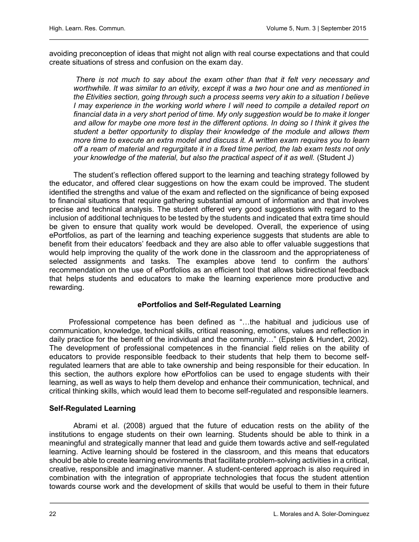avoiding preconception of ideas that might not align with real course expectations and that could create situations of stress and confusion on the exam day.

There is not much to say about the exam other than that it felt very necessary and worthwhile. It was similar to an etivity, except it was a two hour one and as mentioned in the Etivities section, going through such a process seems very akin to a situation I believe I may experience in the working world where I will need to compile a detailed report on financial data in a very short period of time. My only suggestion would be to make it longer and allow for maybe one more test in the different options. In doing so I think it gives the student a better opportunity to display their knowledge of the module and allows them more time to execute an extra model and discuss it. A written exam requires you to learn off a ream of material and regurgitate it in a fixed time period, the lab exam tests not only your knowledge of the material, but also the practical aspect of it as well. (Student J)

The student's reflection offered support to the learning and teaching strategy followed by the educator, and offered clear suggestions on how the exam could be improved. The student identified the strengths and value of the exam and reflected on the significance of being exposed to financial situations that require gathering substantial amount of information and that involves precise and technical analysis. The student offered very good suggestions with regard to the inclusion of additional techniques to be tested by the students and indicated that extra time should be given to ensure that quality work would be developed. Overall, the experience of using ePortfolios, as part of the learning and teaching experience suggests that students are able to benefit from their educators' feedback and they are also able to offer valuable suggestions that would help improving the quality of the work done in the classroom and the appropriateness of selected assignments and tasks. The examples above tend to confirm the authors' recommendation on the use of ePortfolios as an efficient tool that allows bidirectional feedback that helps students and educators to make the learning experience more productive and rewarding.

## ePortfolios and Self-Regulated Learning

Professional competence has been defined as "…the habitual and judicious use of communication, knowledge, technical skills, critical reasoning, emotions, values and reflection in daily practice for the benefit of the individual and the community…" (Epstein & Hundert, 2002). The development of professional competences in the financial field relies on the ability of educators to provide responsible feedback to their students that help them to become selfregulated learners that are able to take ownership and being responsible for their education. In this section, the authors explore how ePortfolios can be used to engage students with their learning, as well as ways to help them develop and enhance their communication, technical, and critical thinking skills, which would lead them to become self-regulated and responsible learners.

#### Self-Regulated Learning

Abrami et al. (2008) argued that the future of education rests on the ability of the institutions to engage students on their own learning. Students should be able to think in a meaningful and strategically manner that lead and guide them towards active and self-regulated learning. Active learning should be fostered in the classroom, and this means that educators should be able to create learning environments that facilitate problem-solving activities in a critical, creative, responsible and imaginative manner. A student-centered approach is also required in combination with the integration of appropriate technologies that focus the student attention towards course work and the development of skills that would be useful to them in their future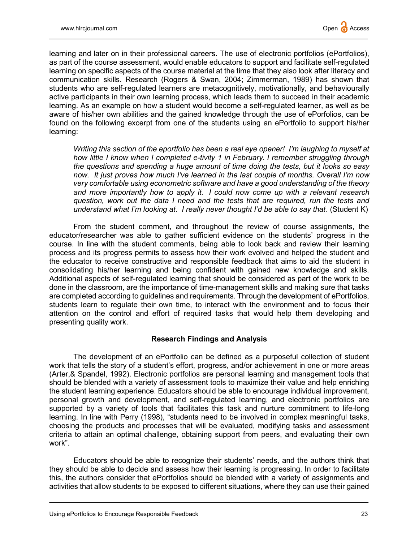learning and later on in their professional careers. The use of electronic portfolios (ePortfolios), as part of the course assessment, would enable educators to support and facilitate self-regulated learning on specific aspects of the course material at the time that they also look after literacy and communication skills. Research (Rogers & Swan, 2004; Zimmerman, 1989) has shown that students who are self-regulated learners are metacognitively, motivationally, and behaviourally active participants in their own learning process, which leads them to succeed in their academic learning. As an example on how a student would become a self-regulated learner, as well as be aware of his/her own abilities and the gained knowledge through the use of ePorfolios, can be found on the following excerpt from one of the students using an ePortfolio to support his/her learning:

Writing this section of the eportfolio has been a real eye opener! I'm laughing to myself at how little I know when I completed e-tivity 1 in February. I remember struggling through the questions and spending a huge amount of time doing the tests, but it looks so easy now. It just proves how much I've learned in the last couple of months. Overall I'm now very comfortable using econometric software and have a good understanding of the theory and more importantly how to apply it. I could now come up with a relevant research question, work out the data I need and the tests that are required, run the tests and understand what I'm looking at. I really never thought I'd be able to say that. (Student K)

From the student comment, and throughout the review of course assignments, the educator/researcher was able to gather sufficient evidence on the students' progress in the course. In line with the student comments, being able to look back and review their learning process and its progress permits to assess how their work evolved and helped the student and the educator to receive constructive and responsible feedback that aims to aid the student in consolidating his/her learning and being confident with gained new knowledge and skills. Additional aspects of self-regulated learning that should be considered as part of the work to be done in the classroom, are the importance of time-management skills and making sure that tasks are completed according to guidelines and requirements. Through the development of ePortfolios, students learn to regulate their own time, to interact with the environment and to focus their attention on the control and effort of required tasks that would help them developing and presenting quality work.

#### Research Findings and Analysis

The development of an ePortfolio can be defined as a purposeful collection of student work that tells the story of a student's effort, progress, and/or achievement in one or more areas (Arter,& Spandel, 1992). Electronic portfolios are personal learning and management tools that should be blended with a variety of assessment tools to maximize their value and help enriching the student learning experience. Educators should be able to encourage individual improvement, personal growth and development, and self-regulated learning, and electronic portfolios are supported by a variety of tools that facilitates this task and nurture commitment to life-long learning. In line with Perry (1998), "students need to be involved in complex meaningful tasks, choosing the products and processes that will be evaluated, modifying tasks and assessment criteria to attain an optimal challenge, obtaining support from peers, and evaluating their own work".

Educators should be able to recognize their students' needs, and the authors think that they should be able to decide and assess how their learning is progressing. In order to facilitate this, the authors consider that ePortfolios should be blended with a variety of assignments and activities that allow students to be exposed to different situations, where they can use their gained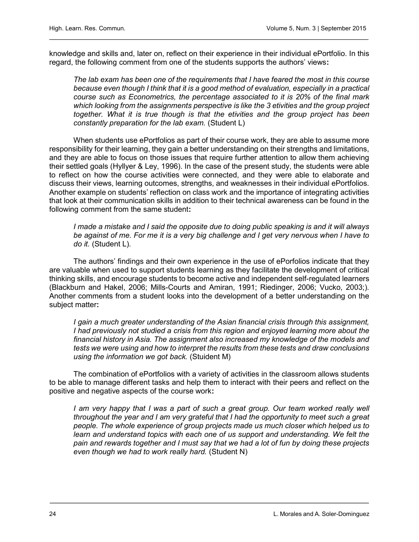knowledge and skills and, later on, reflect on their experience in their individual ePortfolio. In this regard, the following comment from one of the students supports the authors' views:

The lab exam has been one of the requirements that I have feared the most in this course because even though I think that it is a good method of evaluation, especially in a practical course such as Econometrics, the percentage associated to it is 20% of the final mark which looking from the assignments perspective is like the 3 etivities and the group project together. What it is true though is that the etivities and the group project has been constantly preparation for the lab exam. (Student L)

When students use ePortfolios as part of their course work, they are able to assume more responsibility for their learning, they gain a better understanding on their strengths and limitations, and they are able to focus on those issues that require further attention to allow them achieving their settled goals (Hyllyer & Ley, 1996). In the case of the present study, the students were able to reflect on how the course activities were connected, and they were able to elaborate and discuss their views, learning outcomes, strengths, and weaknesses in their individual ePortfolios. Another example on students' reflection on class work and the importance of integrating activities that look at their communication skills in addition to their technical awareness can be found in the following comment from the same student:

I made a mistake and I said the opposite due to doing public speaking is and it will always be against of me. For me it is a very big challenge and I get very nervous when I have to do *it.* (Student L).

The authors' findings and their own experience in the use of ePorfolios indicate that they are valuable when used to support students learning as they facilitate the development of critical thinking skills, and encourage students to become active and independent self-regulated learners (Blackburn and Hakel, 2006; Mills-Courts and Amiran, 1991; Riedinger, 2006; Vucko, 2003;). Another comments from a student looks into the development of a better understanding on the subject matter:

I gain a much greater understanding of the Asian financial crisis through this assignment, I had previously not studied a crisis from this region and enjoyed learning more about the financial history in Asia. The assignment also increased my knowledge of the models and tests we were using and how to interpret the results from these tests and draw conclusions using the information we got back. (Stuident M)

The combination of ePortfolios with a variety of activities in the classroom allows students to be able to manage different tasks and help them to interact with their peers and reflect on the positive and negative aspects of the course work:

I am very happy that I was a part of such a great group. Our team worked really well throughout the year and I am very grateful that I had the opportunity to meet such a great people. The whole experience of group projects made us much closer which helped us to learn and understand topics with each one of us support and understanding. We felt the pain and rewards together and I must say that we had a lot of fun by doing these projects even though we had to work really hard. (Student N)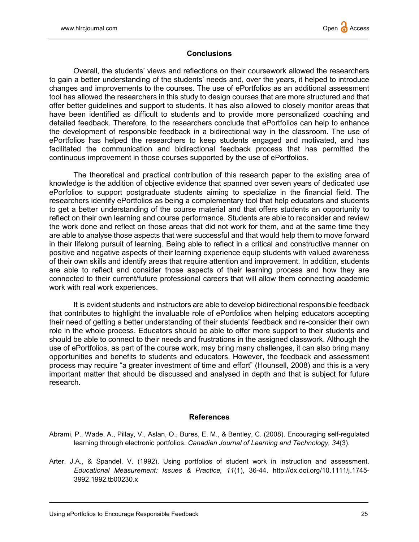### **Conclusions**

Overall, the students' views and reflections on their coursework allowed the researchers to gain a better understanding of the students' needs and, over the years, it helped to introduce changes and improvements to the courses. The use of ePortfolios as an additional assessment tool has allowed the researchers in this study to design courses that are more structured and that offer better guidelines and support to students. It has also allowed to closely monitor areas that have been identified as difficult to students and to provide more personalized coaching and detailed feedback. Therefore, to the researchers conclude that ePortfolios can help to enhance the development of responsible feedback in a bidirectional way in the classroom. The use of ePortfolios has helped the researchers to keep students engaged and motivated, and has facilitated the communication and bidirectional feedback process that has permitted the continuous improvement in those courses supported by the use of ePortfolios.

The theoretical and practical contribution of this research paper to the existing area of knowledge is the addition of objective evidence that spanned over seven years of dedicated use ePorfolios to support postgraduate students aiming to specialize in the financial field. The researchers identify ePortfolios as being a complementary tool that help educators and students to get a better understanding of the course material and that offers students an opportunity to reflect on their own learning and course performance. Students are able to reconsider and review the work done and reflect on those areas that did not work for them, and at the same time they are able to analyse those aspects that were successful and that would help them to move forward in their lifelong pursuit of learning. Being able to reflect in a critical and constructive manner on positive and negative aspects of their learning experience equip students with valued awareness of their own skills and identify areas that require attention and improvement. In addition, students are able to reflect and consider those aspects of their learning process and how they are connected to their current/future professional careers that will allow them connecting academic work with real work experiences.

It is evident students and instructors are able to develop bidirectional responsible feedback that contributes to highlight the invaluable role of ePortfolios when helping educators accepting their need of getting a better understanding of their students' feedback and re-consider their own role in the whole process. Educators should be able to offer more support to their students and should be able to connect to their needs and frustrations in the assigned classwork. Although the use of ePortfolios, as part of the course work, may bring many challenges, it can also bring many opportunities and benefits to students and educators. However, the feedback and assessment process may require "a greater investment of time and effort" (Hounsell, 2008) and this is a very important matter that should be discussed and analysed in depth and that is subject for future research.

## **References**

- Abrami, P., Wade, A., Pillay, V., Aslan, O., Bures, E. M., & Bentley, C. (2008). Encouraging self-regulated learning through electronic portfolios. Canadian Journal of Learning and Technology, 34(3).
- Arter, J.A., & Spandel, V. (1992). Using portfolios of student work in instruction and assessment. Educational Measurement: Issues & Practice, 11(1), 36-44. [http://dx.doi.org/10.1111/j.1745-](http://dx.doi.org/10.1111/j.1745-3992.1992.tb00230.x) [3992.1992.tb00230.x](http://dx.doi.org/10.1111/j.1745-3992.1992.tb00230.x)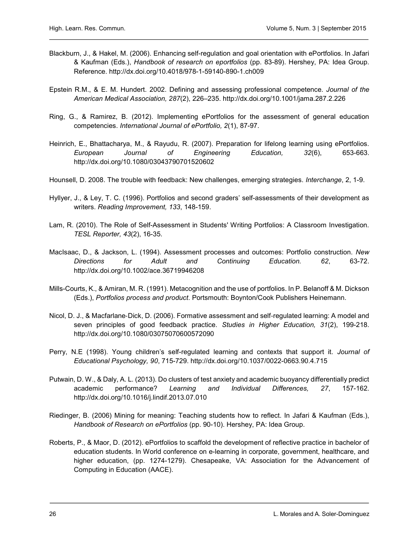- Blackburn, J., & Hakel, M. (2006). Enhancing self-regulation and goal orientation with ePortfolios. In Jafari & Kaufman (Eds.), Handbook of research on eportfolios (pp. 83-89). Hershey, PA: Idea Group. Reference.<http://dx.doi.org/10.4018/978-1-59140-890-1.ch009>
- Epstein R.M., & E. M. Hundert. 2002. Defining and assessing professional competence. Journal of the American Medical Association, 287(2), 226–235[. http://dx.doi.org/10.1001/jama.287.2.226](http://dx.doi.org/10.1001/jama.287.2.226)
- Ring, G., & Ramirez, B. (2012). Implementing ePortfolios for the assessment of general education competencies. International Journal of ePortfolio, 2(1), 87-97.
- Heinrich, E., Bhattacharya, M., & Rayudu, R. (2007). Preparation for lifelong learning using ePortfolios. European Journal of Engineering Education, 32(6), 653-663. <http://dx.doi.org/10.1080/03043790701520602>
- Hounsell, D. 2008. The trouble with feedback: New challenges, emerging strategies. Interchange, 2, 1-9.
- Hyllyer, J., & Ley, T. C. (1996). Portfolios and second graders' self-assessments of their development as writers. Reading Improvement, 133, 148-159.
- Lam, R. (2010). The Role of Self-Assessment in Students' Writing Portfolios: A Classroom Investigation. TESL Reporter, 43(2), 16-35.
- MacIsaac, D., & Jackson, L. (1994). Assessment processes and outcomes: Portfolio construction. New Directions for Adult and Continuing Education. 62, 63-72. <http://dx.doi.org/10.1002/ace.36719946208>
- Mills-Courts, K., & Amiran, M. R. (1991). Metacognition and the use of portfolios. In P. Belanoff & M. Dickson (Eds.), Portfolios process and product. Portsmouth: Boynton/Cook Publishers Heinemann.
- Nicol, D. J., & Macfarlane‐Dick, D. (2006). Formative assessment and self‐regulated learning: A model and seven principles of good feedback practice. Studies in Higher Education, 31(2), 199-218. <http://dx.doi.org/10.1080/03075070600572090>
- Perry, N.E (1998). Young children's self-regulated learning and contexts that support it. Journal of Educational Psychology, 90, 715-729.<http://dx.doi.org/10.1037/0022-0663.90.4.715>
- Putwain, D. W., & Daly, A. L. (2013). Do clusters of test anxiety and academic buoyancy differentially predict academic performance? Learning and Individual Differences, 27, 157-162. <http://dx.doi.org/10.1016/j.lindif.2013.07.010>
- Riedinger, B. (2006) Mining for meaning: Teaching students how to reflect. In Jafari & Kaufman (Eds.), Handbook of Research on ePortfolios (pp. 90-10). Hershey, PA: Idea Group.
- Roberts, P., & Maor, D. (2012). ePortfolios to scaffold the development of reflective practice in bachelor of education students. In World conference on e-learning in corporate, government, healthcare, and higher education, (pp. 1274-1279). Chesapeake, VA: Association for the Advancement of Computing in Education (AACE).